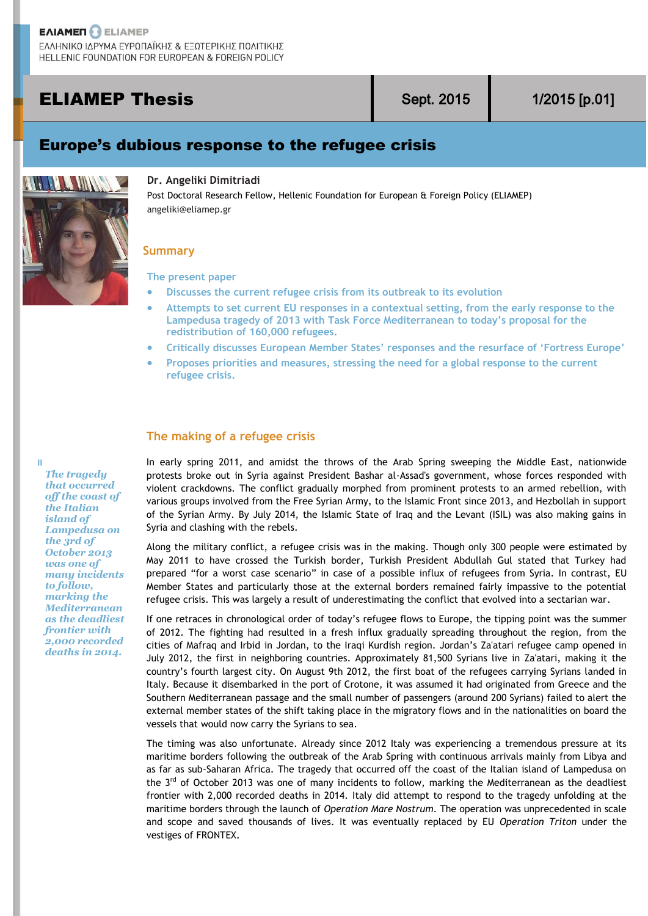# **ELIAMEP Thesis Sept. 2015** 1/2015 [p.01]

## Europe's dubious response to the refugee crisis



### **Dr. Angeliki Dimitriadi**

Post Doctoral Research Fellow, Hellenic Foundation for European & Foreign Policy (ELIAMEP) angeliki@eliamep.gr

## **Summary**

**The present paper**

- **Discusses the current refugee crisis from its outbreak to its evolution**
- **Attempts to set current EU responses in a contextual setting, from the early response to the Lampedusa tragedy of 2013 with Task Force Mediterranean to today's proposal for the redistribution of 160,000 refugees.**
- **Critically discusses European Member States' responses and the resurface of 'Fortress Europe'**
- **Proposes priorities and measures, stressing the need for a global response to the current refugee crisis.**

## **The making of a refugee crisis**

In early spring 2011, and amidst the throws of the Arab Spring sweeping the Middle East, nationwide protests broke out in Syria against President Bashar al-Assad's government, whose forces responded with violent crackdowns. The conflict gradually morphed from prominent protests to an armed rebellion, with various groups involved from the Free Syrian Army, to the Islamic Front since 2013, and Hezbollah in support of the Syrian Army. By July 2014, the Islamic State of Iraq and the Levant (ISIL) was also making gains in Syria and clashing with the rebels.

Along the military conflict, a refugee crisis was in the making. Though only 300 people were estimated by May 2011 to have crossed the Turkish border, Turkish President Abdullah Gul stated that Turkey had prepared "for a worst case scenario" in case of a possible influx of refugees from Syria. In contrast, EU Member States and particularly those at the external borders remained fairly impassive to the potential refugee crisis. This was largely a result of underestimating the conflict that evolved into a sectarian war.

If one retraces in chronological order of today's refugee flows to Europe, the tipping point was the summer of 2012. The fighting had resulted in a fresh influx gradually spreading throughout the region, from the cities of Mafraq and Irbid in Jordan, to the Iraqi Kurdish region. Jordan's Za'atari refugee camp opened in July 2012, the first in neighboring countries. Approximately 81,500 Syrians live in Za'atari, making it the country's fourth largest city. On August 9th 2012, the first boat of the refugees carrying Syrians landed in Italy. Because it disembarked in the port of Crotone, it was assumed it had originated from Greece and the Southern Mediterranean passage and the small number of passengers (around 200 Syrians) failed to alert the external member states of the shift taking place in the migratory flows and in the nationalities on board the vessels that would now carry the Syrians to sea.

The timing was also unfortunate. Already since 2012 Italy was experiencing a tremendous pressure at its maritime borders following the outbreak of the Arab Spring with continuous arrivals mainly from Libya and as far as sub-Saharan Africa. The tragedy that occurred off the coast of the Italian island of Lampedusa on the  $3<sup>rd</sup>$  of October 2013 was one of many incidents to follow, marking the Mediterranean as the deadliest frontier with 2,000 recorded deaths in 2014. Italy did attempt to respond to the tragedy unfolding at the maritime borders through the launch of *Operation Mare Nostrum*. The operation was unprecedented in scale and scope and saved thousands of lives. It was eventually replaced by EU *Operation Triton* under the vestiges of FRONTEX.

*The tragedy that occurred off the coast of the Italian island of Lampedusa on the 3rd of October 2013 was one of many incidents to follow, marking the Mediterranean as the deadliest frontier with 2,000 recorded deaths in 2014.*

H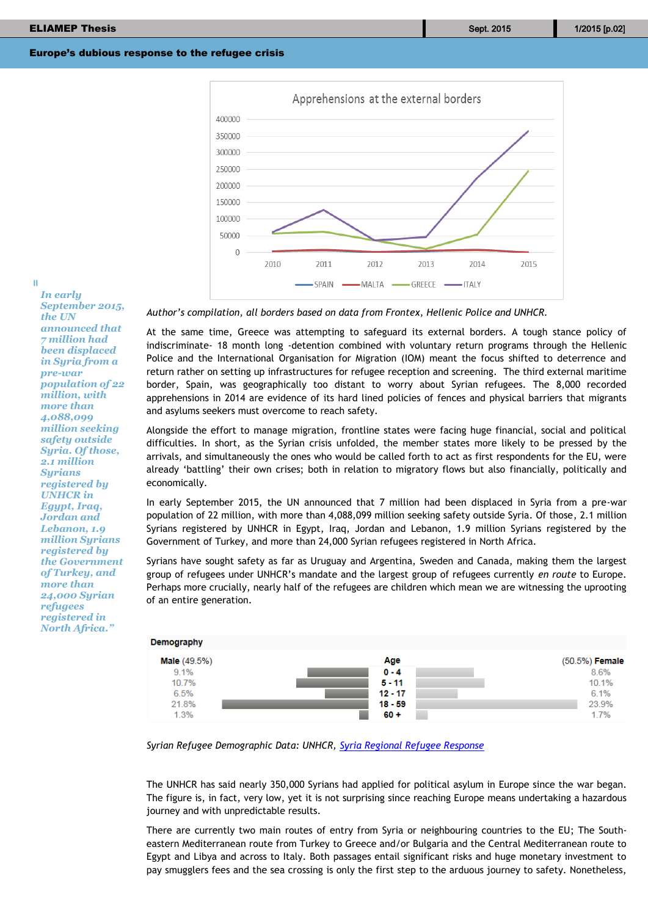

*In early September 2015, the UN announced that 7 million had been displaced in Syria from a pre-war population of 22 million, with more than 4,088,099 million seeking safety outside Syria. Of those, 2.1 million Syrians registered by UNHCR in Egypt, Iraq, Jordan and Lebanon, 1.9 million Syrians registered by the Government of Turkey, and more than 24,000 Syrian refugees registered in* 

*North Africa."*

 $\mathbf{H}$ 

*Author's compilation, all borders based on data from Frontex, Hellenic Police and UNHCR.*

At the same time, Greece was attempting to safeguard its external borders. A tough stance policy of indiscriminate- 18 month long -detention combined with voluntary return programs through the Hellenic Police and the International Organisation for Migration (IOM) meant the focus shifted to deterrence and return rather on setting up infrastructures for refugee reception and screening. The third external maritime border, Spain, was geographically too distant to worry about Syrian refugees. The 8,000 recorded apprehensions in 2014 are evidence of its hard lined policies of fences and physical barriers that migrants and asylums seekers must overcome to reach safety.

Alongside the effort to manage migration, frontline states were facing huge financial, social and political difficulties. In short, as the Syrian crisis unfolded, the member states more likely to be pressed by the arrivals, and simultaneously the ones who would be called forth to act as first respondents for the EU, were already 'battling' their own crises; both in relation to migratory flows but also financially, politically and economically.

In early September 2015, the UN announced that 7 million had been displaced in Syria from a pre-war population of 22 million, with more than 4,088,099 million seeking safety outside Syria. Of those, 2.1 million Syrians registered by UNHCR in Egypt, Iraq, Jordan and Lebanon, 1.9 million Syrians registered by the Government of Turkey, and more than 24,000 Syrian refugees registered in North Africa.

Syrians have sought safety as far as Uruguay and Argentina, Sweden and Canada, making them the largest group of refugees under UNHCR's mandate and the largest group of refugees currently *en route* to Europe. Perhaps more crucially, nearly half of the refugees are children which mean we are witnessing the uprooting of an entire generation.

| Demography          |           |                       |
|---------------------|-----------|-----------------------|
| <b>Male</b> (49.5%) | Age       | (50.5%) <b>Female</b> |
| 9.1%                | $0 - 4$   | 8.6%                  |
| 10.7%               | $5 - 11$  | 10.1%                 |
| 6.5%                | $12 - 17$ | 6.1%                  |
| 21.8%               | $18 - 59$ | 23.9%                 |
| 1.3%                | $60 +$    | 1.7%                  |

*Syrian Refugee Demographic Data: UNHCR, [Syria Regional Refugee Response](http://data.unhcr.org/syrianrefugees/regional.php)*

The UNHCR has said nearly 350,000 Syrians had applied for political asylum in Europe since the war began. The figure is, in fact, very low, yet it is not surprising since reaching Europe means undertaking a hazardous journey and with unpredictable results.

There are currently two main routes of entry from Syria or neighbouring countries to the EU; The Southeastern Mediterranean route from Turkey to Greece and/or Bulgaria and the Central Mediterranean route to Egypt and Libya and across to Italy. Both passages entail significant risks and huge monetary investment to pay smugglers fees and the sea crossing is only the first step to the arduous journey to safety. Nonetheless,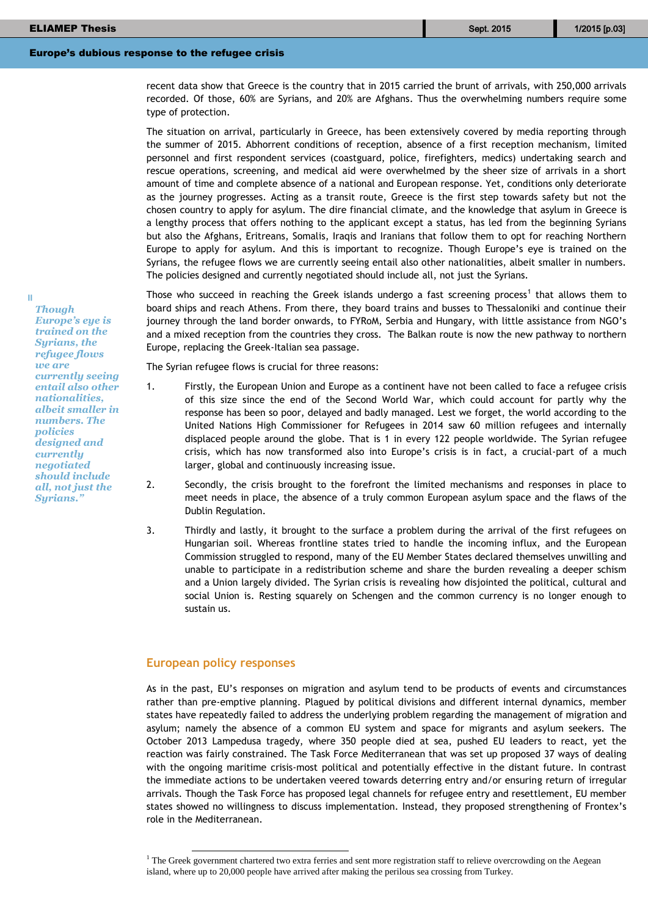recent data show that Greece is the country that in 2015 carried the brunt of arrivals, with 250,000 arrivals recorded. Of those, 60% are Syrians, and 20% are Afghans. Thus the overwhelming numbers require some type of protection.

The situation on arrival, particularly in Greece, has been extensively covered by media reporting through the summer of 2015. Abhorrent conditions of reception, absence of a first reception mechanism, limited personnel and first respondent services (coastguard, police, firefighters, medics) undertaking search and rescue operations, screening, and medical aid were overwhelmed by the sheer size of arrivals in a short amount of time and complete absence of a national and European response. Yet, conditions only deteriorate as the journey progresses. Acting as a transit route, Greece is the first step towards safety but not the chosen country to apply for asylum. The dire financial climate, and the knowledge that asylum in Greece is a lengthy process that offers nothing to the applicant except a status, has led from the beginning Syrians but also the Afghans, Eritreans, Somalis, Iraqis and Iranians that follow them to opt for reaching Northern Europe to apply for asylum. And this is important to recognize. Though Europe's eye is trained on the Syrians, the refugee flows we are currently seeing entail also other nationalities, albeit smaller in numbers. The policies designed and currently negotiated should include all, not just the Syrians.

Those who succeed in reaching the Greek islands undergo a fast screening process<sup>1</sup> that allows them to board ships and reach Athens. From there, they board trains and busses to Thessaloniki and continue their journey through the land border onwards, to FYRoM, Serbia and Hungary, with little assistance from NGO's and a mixed reception from the countries they cross. The Balkan route is now the new pathway to northern Europe, replacing the Greek-Italian sea passage.

The Syrian refugee flows is crucial for three reasons:

- 1. Firstly, the European Union and Europe as a continent have not been called to face a refugee crisis of this size since the end of the Second World War, which could account for partly why the response has been so poor, delayed and badly managed. Lest we forget, the world according to the United Nations High Commissioner for Refugees in 2014 saw 60 million refugees and internally displaced people around the globe. That is 1 in every 122 people worldwide. The Syrian refugee crisis, which has now transformed also into Europe's crisis is in fact, a crucial-part of a much larger, global and continuously increasing issue.
- 2. Secondly, the crisis brought to the forefront the limited mechanisms and responses in place to meet needs in place, the absence of a truly common European asylum space and the flaws of the Dublin Regulation.
- 3. Thirdly and lastly, it brought to the surface a problem during the arrival of the first refugees on Hungarian soil. Whereas frontline states tried to handle the incoming influx, and the European Commission struggled to respond, many of the EU Member States declared themselves unwilling and unable to participate in a redistribution scheme and share the burden revealing a deeper schism and a Union largely divided. The Syrian crisis is revealing how disjointed the political, cultural and social Union is. Resting squarely on Schengen and the common currency is no longer enough to sustain us.

## **European policy responses**

As in the past, EU's responses on migration and asylum tend to be products of events and circumstances rather than pre-emptive planning. Plagued by political divisions and different internal dynamics, member states have repeatedly failed to address the underlying problem regarding the management of migration and asylum; namely the absence of a common EU system and space for migrants and asylum seekers. The October 2013 Lampedusa tragedy, where 350 people died at sea, pushed EU leaders to react, yet the reaction was fairly constrained. The Task Force Mediterranean that was set up proposed 37 ways of dealing with the ongoing maritime crisis-most political and potentially effective in the distant future. In contrast the immediate actions to be undertaken veered towards deterring entry and/or ensuring return of irregular arrivals. Though the Task Force has proposed legal channels for refugee entry and resettlement, EU member states showed no willingness to discuss implementation. Instead, they proposed strengthening of Frontex's role in the Mediterranean.

*Though Europe's eye is trained on the Syrians, the refugee flows we are currently seeing entail also other nationalities, albeit smaller in numbers. The policies designed and currently negotiated should include all, not just the Syrians."*

 $\mathbf{I}$ 

<sup>&</sup>lt;sup>1</sup> The Greek government chartered two extra ferries and sent more registration staff to relieve overcrowding on the Aegean island, where up to 20,000 people have arrived after making the perilous sea crossing from Turkey.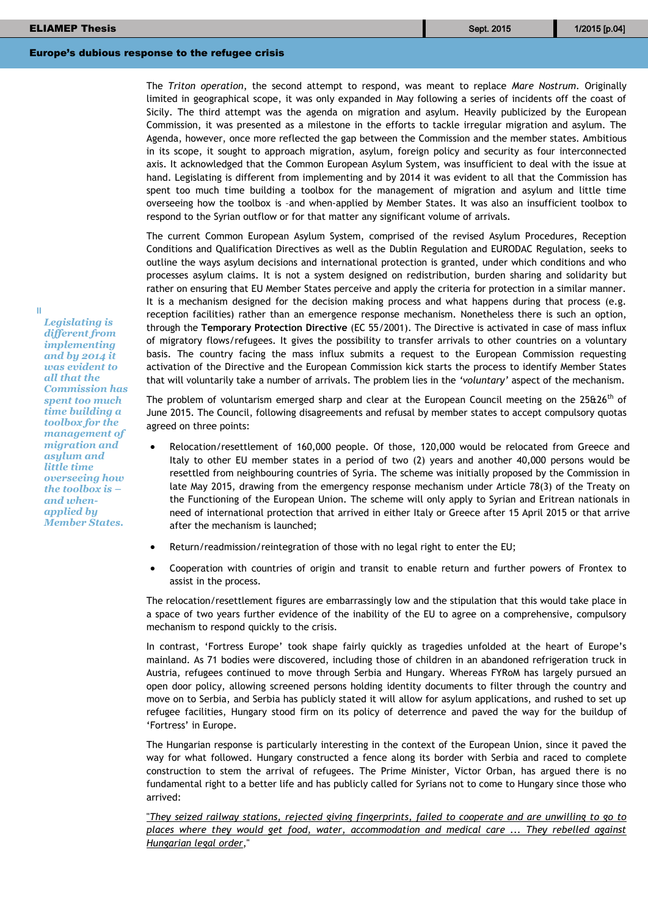The *Triton operation*, the second attempt to respond, was meant to replace *Mare Nostrum*. Originally limited in geographical scope, it was only expanded in May following a series of incidents off the coast of Sicily. The third attempt was the agenda on migration and asylum. Heavily publicized by the European Commission, it was presented as a milestone in the efforts to tackle irregular migration and asylum. The Agenda, however, once more reflected the gap between the Commission and the member states. Ambitious in its scope, it sought to approach migration, asylum, foreign policy and security as four interconnected axis. It acknowledged that the Common European Asylum System, was insufficient to deal with the issue at hand. Legislating is different from implementing and by 2014 it was evident to all that the Commission has spent too much time building a toolbox for the management of migration and asylum and little time overseeing how the toolbox is –and when-applied by Member States. It was also an insufficient toolbox to respond to the Syrian outflow or for that matter any significant volume of arrivals.

The current Common European Asylum System, comprised of the revised Asylum Procedures, Reception Conditions and Qualification Directives as well as the Dublin Regulation and EURODAC Regulation, seeks to outline the ways asylum decisions and international protection is granted, under which conditions and who processes asylum claims. It is not a system designed on redistribution, burden sharing and solidarity but rather on ensuring that EU Member States perceive and apply the criteria for protection in a similar manner. It is a mechanism designed for the decision making process and what happens during that process (e.g. reception facilities) rather than an emergence response mechanism. Nonetheless there is such an option, through the **Temporary Protection Directive** (EC 55/2001). The Directive is activated in case of mass influx of migratory flows/refugees. It gives the possibility to transfer arrivals to other countries on a voluntary basis. The country facing the mass influx submits a request to the European Commission requesting activation of the Directive and the European Commission kick starts the process to identify Member States that will voluntarily take a number of arrivals. The problem lies in the *'voluntary'* aspect of the mechanism.

The problem of voluntarism emerged sharp and clear at the European Council meeting on the 25&26<sup>th</sup> of June 2015. The Council, following disagreements and refusal by member states to accept compulsory quotas agreed on three points:

- Relocation/resettlement of 160,000 people. Of those, 120,000 would be relocated from Greece and Italy to other EU member states in a period of two (2) years and another 40,000 persons would be resettled from neighbouring countries of Syria. The scheme was initially proposed by the Commission in late May 2015, drawing from the emergency response mechanism under Article 78(3) of the Treaty on the Functioning of the European Union. The scheme will only apply to Syrian and Eritrean nationals in need of international protection that arrived in either Italy or Greece after 15 April 2015 or that arrive after the mechanism is launched;
	- Return/readmission/reintegration of those with no legal right to enter the EU;
- Cooperation with countries of origin and transit to enable return and further powers of Frontex to assist in the process.

The relocation/resettlement figures are embarrassingly low and the stipulation that this would take place in a space of two years further evidence of the inability of the EU to agree on a comprehensive, compulsory mechanism to respond quickly to the crisis.

In contrast, 'Fortress Europe' took shape fairly quickly as tragedies unfolded at the heart of Europe's mainland. As 71 bodies were discovered, including those of children in an abandoned refrigeration truck in Austria, refugees continued to move through Serbia and Hungary. Whereas FYRoM has largely pursued an open door policy, allowing screened persons holding identity documents to filter through the country and move on to Serbia, and Serbia has publicly stated it will allow for asylum applications, and rushed to set up refugee facilities, Hungary stood firm on its policy of deterrence and paved the way for the buildup of 'Fortress' in Europe.

The Hungarian response is particularly interesting in the context of the European Union, since it paved the way for what followed. Hungary constructed a fence along its border with Serbia and raced to complete construction to stem the arrival of refugees. The Prime Minister, Victor Orban, has argued there is no fundamental right to a better life and has publicly called for Syrians not to come to Hungary since those who arrived:

"*[They seized railway stations, rejected giving fingerprints, failed to cooperate and are unwilling to go to](http://www.reuters.com/article/2015/09/11/us-europe-migrants-idUSKCN0RA2HV20150911)  [places where they would get food, water, accommodation and medical care ... They rebelled against](http://www.reuters.com/article/2015/09/11/us-europe-migrants-idUSKCN0RA2HV20150911)  [Hungarian legal order](http://www.reuters.com/article/2015/09/11/us-europe-migrants-idUSKCN0RA2HV20150911)*,"

*Legislating is different from implementing and by 2014 it was evident to all that the Commission has spent too much time building a toolbox for the management of migration and asylum and little time overseeing how the toolbox is – and whenapplied by Member States.*

 $\mathbf{I}$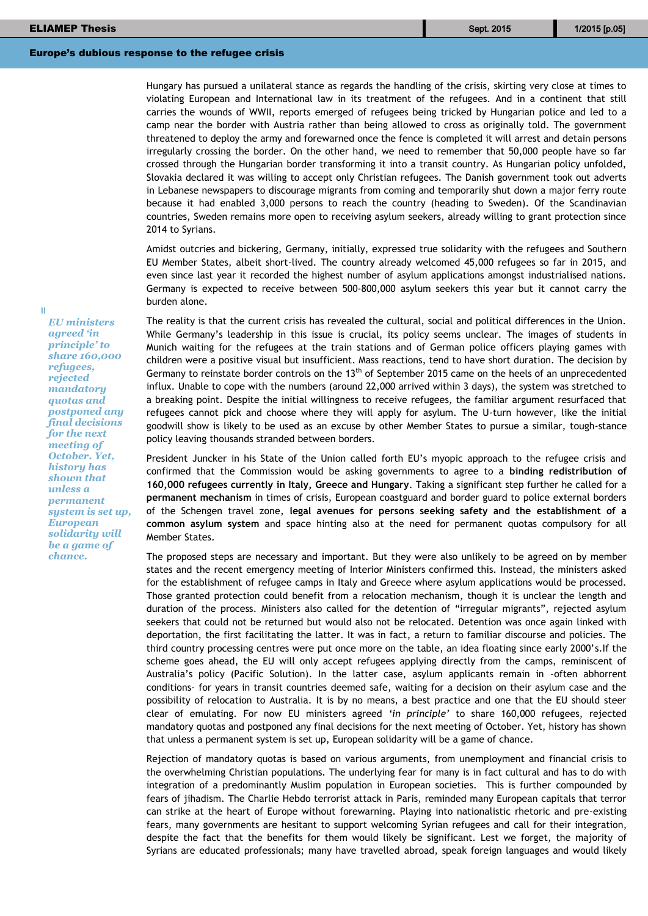Hungary has pursued a unilateral stance as regards the handling of the crisis, skirting very close at times to violating European and International law in its treatment of the refugees. And in a continent that still carries the wounds of WWII, reports emerged of refugees being tricked by Hungarian police and led to a camp near the border with Austria rather than being allowed to cross as originally told. The government threatened to deploy the army and forewarned once the fence is completed it will arrest and detain persons irregularly crossing the border. On the other hand, we need to remember that 50,000 people have so far crossed through the Hungarian border transforming it into a transit country. As Hungarian policy unfolded, Slovakia declared it was willing to accept only Christian refugees. The Danish government took out adverts in Lebanese newspapers to discourage migrants from coming and temporarily shut down a major ferry route because it had enabled 3,000 persons to reach the country (heading to Sweden). Of the Scandinavian countries, Sweden remains more open to receiving asylum seekers, already willing to grant protection since 2014 to Syrians.

Amidst outcries and bickering, Germany, initially, expressed true solidarity with the refugees and Southern EU Member States, albeit short-lived. The country already welcomed 45,000 refugees so far in 2015, and even since last year it recorded the highest number of asylum applications amongst industrialised nations. Germany is expected to receive between 500-800,000 asylum seekers this year but it cannot carry the burden alone.

The reality is that the current crisis has revealed the cultural, social and political differences in the Union. While Germany's leadership in this issue is crucial, its policy seems unclear. The images of students in Munich waiting for the refugees at the train stations and of German police officers playing games with children were a positive visual but insufficient. Mass reactions, tend to have short duration. The decision by Germany to reinstate border controls on the  $13<sup>th</sup>$  of September 2015 came on the heels of an unprecedented influx. Unable to cope with the numbers (around 22,000 arrived within 3 days), the system was stretched to a breaking point. Despite the initial willingness to receive refugees, the familiar argument resurfaced that refugees cannot pick and choose where they will apply for asylum. The U-turn however, like the initial goodwill show is likely to be used as an excuse by other Member States to pursue a similar, tough-stance policy leaving thousands stranded between borders.

President Juncker in his State of the Union called forth EU's myopic approach to the refugee crisis and confirmed that the Commission would be asking governments to agree to a **binding redistribution of 160,000 refugees currently in Italy, Greece and Hungary**. Taking a significant step further he called for a **permanent mechanism** in times of crisis, European coastguard and border guard to police external borders of the Schengen travel zone, **legal avenues for persons seeking safety and the establishment of a common asylum system** and space hinting also at the need for permanent quotas compulsory for all Member States.

The proposed steps are necessary and important. But they were also unlikely to be agreed on by member states and the recent emergency meeting of Interior Ministers confirmed this. Instead, the ministers asked for the establishment of refugee camps in Italy and Greece where asylum applications would be processed. Those granted protection could benefit from a relocation mechanism, though it is unclear the length and duration of the process. Ministers also called for the detention of "irregular migrants", rejected asylum seekers that could not be returned but would also not be relocated. Detention was once again linked with deportation, the first facilitating the latter. It was in fact, a return to familiar discourse and policies. The third country processing centres were put once more on the table, an idea floating since early 2000's.If the scheme goes ahead, the EU will only accept refugees applying directly from the camps, reminiscent of Australia's policy (Pacific Solution). In the latter case, asylum applicants remain in –often abhorrent conditions- for years in transit countries deemed safe, waiting for a decision on their asylum case and the possibility of relocation to Australia. It is by no means, a best practice and one that the EU should steer clear of emulating. For now EU ministers agreed *'in principle'* to share 160,000 refugees, rejected mandatory quotas and postponed any final decisions for the next meeting of October. Yet, history has shown that unless a permanent system is set up, European solidarity will be a game of chance.

Rejection of mandatory quotas is based on various arguments, from unemployment and financial crisis to the overwhelming Christian populations. The underlying fear for many is in fact cultural and has to do with integration of a predominantly Muslim population in European societies. This is further compounded by fears of jihadism. The Charlie Hebdo terrorist attack in Paris, reminded many European capitals that terror can strike at the heart of Europe without forewarning. Playing into nationalistic rhetoric and pre-existing fears, many governments are hesitant to support welcoming Syrian refugees and call for their integration, despite the fact that the benefits for them would likely be significant. Lest we forget, the majority of Syrians are educated professionals; many have travelled abroad, speak foreign languages and would likely

*EU ministers agreed 'in principle' to share 160,000 refugees, rejected mandatory quotas and postponed any final decisions for the next meeting of October. Yet, history has shown that unless a permanent system is set up, European solidarity will be a game of chance.*

 $\mathbf{I}$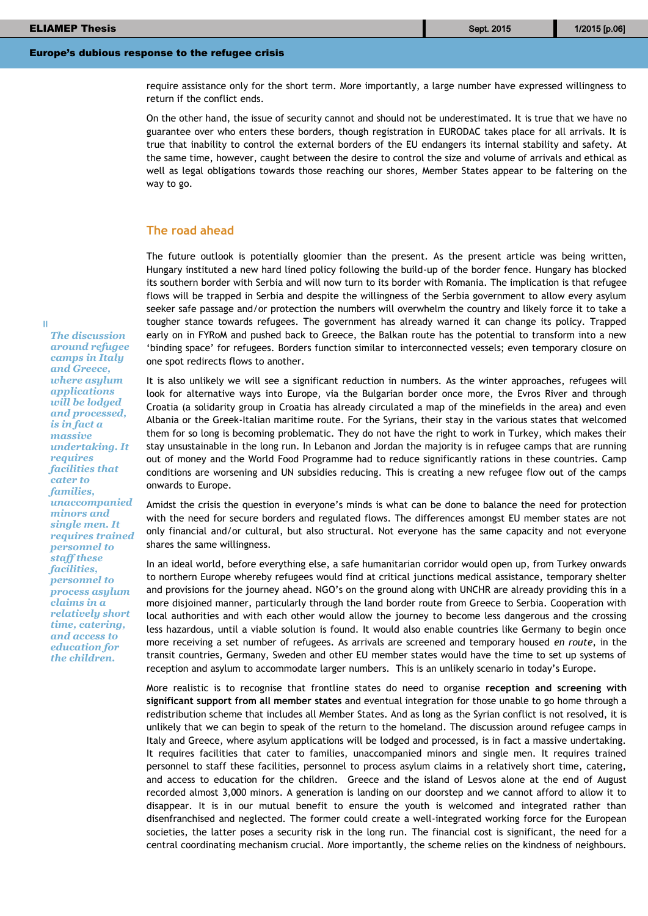require assistance only for the short term. More importantly, a large number have expressed willingness to return if the conflict ends.

On the other hand, the issue of security cannot and should not be underestimated. It is true that we have no guarantee over who enters these borders, though registration in EURODAC takes place for all arrivals. It is true that inability to control the external borders of the EU endangers its internal stability and safety. At the same time, however, caught between the desire to control the size and volume of arrivals and ethical as well as legal obligations towards those reaching our shores, Member States appear to be faltering on the way to go.

#### **The road ahead**

The future outlook is potentially gloomier than the present. As the present article was being written, Hungary instituted a new hard lined policy following the build-up of the border fence. Hungary has blocked its southern border with Serbia and will now turn to its border with Romania. The implication is that refugee flows will be trapped in Serbia and despite the willingness of the Serbia government to allow every asylum seeker safe passage and/or protection the numbers will overwhelm the country and likely force it to take a tougher stance towards refugees. The government has already warned it can change its policy. Trapped early on in FYRoM and pushed back to Greece, the Balkan route has the potential to transform into a new 'binding space' for refugees. Borders function similar to interconnected vessels; even temporary closure on one spot redirects flows to another.

It is also unlikely we will see a significant reduction in numbers. As the winter approaches, refugees will look for alternative ways into Europe, via the Bulgarian border once more, the Evros River and through Croatia (a solidarity group in Croatia has already circulated a map of the minefields in the area) and even Albania or the Greek-Italian maritime route. For the Syrians, their stay in the various states that welcomed them for so long is becoming problematic. They do not have the right to work in Turkey, which makes their stay unsustainable in the long run. In Lebanon and Jordan the majority is in refugee camps that are running out of money and the World Food Programme had to reduce significantly rations in these countries. Camp conditions are worsening and UN subsidies reducing. This is creating a new refugee flow out of the camps onwards to Europe.

Amidst the crisis the question in everyone's minds is what can be done to balance the need for protection with the need for secure borders and regulated flows. The differences amongst EU member states are not only financial and/or cultural, but also structural. Not everyone has the same capacity and not everyone shares the same willingness.

In an ideal world, before everything else, a safe humanitarian corridor would open up, from Turkey onwards to northern Europe whereby refugees would find at critical junctions medical assistance, temporary shelter and provisions for the journey ahead. NGO's on the ground along with UNCHR are already providing this in a more disjoined manner, particularly through the land border route from Greece to Serbia. Cooperation with local authorities and with each other would allow the journey to become less dangerous and the crossing less hazardous, until a viable solution is found. It would also enable countries like Germany to begin once more receiving a set number of refugees. As arrivals are screened and temporary housed *en route*, in the transit countries, Germany, Sweden and other EU member states would have the time to set up systems of reception and asylum to accommodate larger numbers. This is an unlikely scenario in today's Europe.

More realistic is to recognise that frontline states do need to organise **reception and screening with significant support from all member states** and eventual integration for those unable to go home through a redistribution scheme that includes all Member States. And as long as the Syrian conflict is not resolved, it is unlikely that we can begin to speak of the return to the homeland. The discussion around refugee camps in Italy and Greece, where asylum applications will be lodged and processed, is in fact a massive undertaking. It requires facilities that cater to families, unaccompanied minors and single men. It requires trained personnel to staff these facilities, personnel to process asylum claims in a relatively short time, catering, and access to education for the children. Greece and the island of Lesvos alone at the end of August recorded almost 3,000 minors. A generation is landing on our doorstep and we cannot afford to allow it to disappear. It is in our mutual benefit to ensure the youth is welcomed and integrated rather than disenfranchised and neglected. The former could create a well-integrated working force for the European societies, the latter poses a security risk in the long run. The financial cost is significant, the need for a central coordinating mechanism crucial. More importantly, the scheme relies on the kindness of neighbours.

*The discussion around refugee camps in Italy and Greece, where asylum applications will be lodged and processed, is in fact a massive undertaking. It requires facilities that cater to families, unaccompanied minors and single men. It requires trained personnel to staff these facilities, personnel to process asylum claims in a relatively short time, catering, and access to education for the children.*

I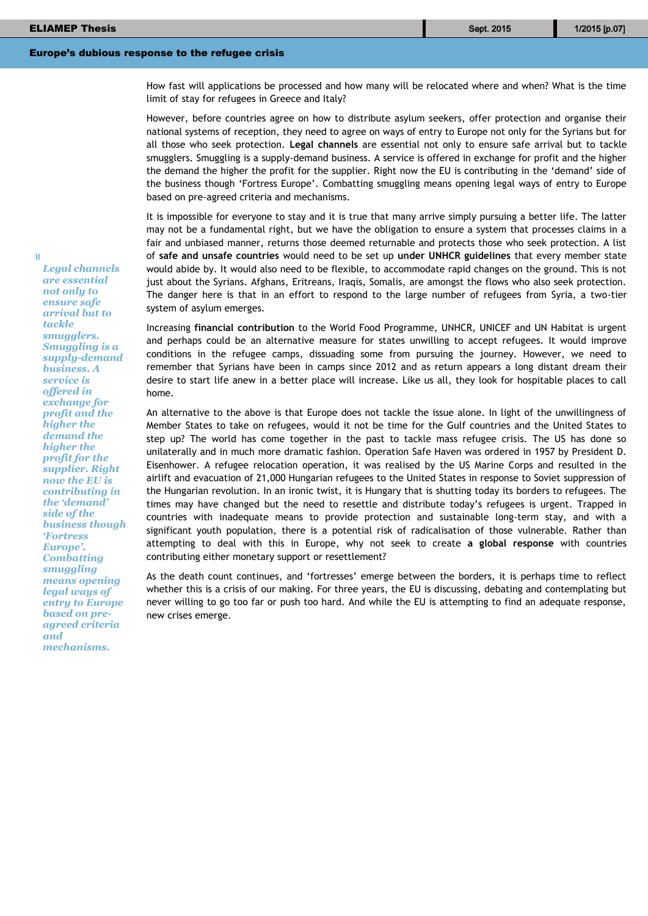$\mathbf{I}$ 

#### Europe's dubious response to the refugee crisis

How fast will applications be processed and how many will be relocated where and when? What is the time limit of stay for refugees in Greece and Italy?

However, before countries agree on how to distribute asylum seekers, offer protection and organise their national systems of reception, they need to agree on ways of entry to Europe not only for the Syrians but for all those who seek protection. **Legal channels** are essential not only to ensure safe arrival but to tackle smugglers. Smuggling is a supply-demand business. A service is offered in exchange for profit and the higher the demand the higher the profit for the supplier. Right now the EU is contributing in the 'demand' side of the business though 'Fortress Europe'. Combatting smuggling means opening legal ways of entry to Europe based on pre-agreed criteria and mechanisms.

It is impossible for everyone to stay and it is true that many arrive simply pursuing a better life. The latter may not be a fundamental right, but we have the obligation to ensure a system that processes claims in a fair and unbiased manner, returns those deemed returnable and protects those who seek protection. A list of **safe and unsafe countries** would need to be set up **under UNHCR guidelines** that every member state would abide by. It would also need to be flexible, to accommodate rapid changes on the ground. This is not just about the Syrians. Afghans, Eritreans, Iraqis, Somalis, are amongst the flows who also seek protection. The danger here is that in an effort to respond to the large number of refugees from Syria, a two-tier system of asylum emerges.

Increasing **financial contribution** to the World Food Programme, UNHCR, UNICEF and UN Habitat is urgent and perhaps could be an alternative measure for states unwilling to accept refugees. It would improve conditions in the refugee camps, dissuading some from pursuing the journey. However, we need to remember that Syrians have been in camps since 2012 and as return appears a long distant dream their desire to start life anew in a better place will increase. Like us all, they look for hospitable places to call home.

An alternative to the above is that Europe does not tackle the issue alone. In light of the unwillingness of Member States to take on refugees, would it not be time for the Gulf countries and the United States to step up? The world has come together in the past to tackle mass refugee crisis. The US has done so unilaterally and in much more dramatic fashion. Operation Safe Haven was ordered in 1957 by President D. Eisenhower. A refugee relocation operation, it was realised by the US Marine Corps and resulted in the airlift and evacuation of 21,000 Hungarian refugees to the United States in response to Soviet suppression of the Hungarian revolution. In an ironic twist, it is Hungary that is shutting today its borders to refugees. The times may have changed but the need to resettle and distribute today's refugees is urgent. Trapped in countries with inadequate means to provide protection and sustainable long-term stay, and with a significant youth population, there is a potential risk of radicalisation of those vulnerable. Rather than attempting to deal with this in Europe, why not seek to create **a global response** with countries contributing either monetary support or resettlement?

As the death count continues, and 'fortresses' emerge between the borders, it is perhaps time to reflect whether this is a crisis of our making. For three years, the EU is discussing, debating and contemplating but never willing to go too far or push too hard. And while the EU is attempting to find an adequate response, new crises emerge.

*Legal channels are essential not only to ensure safe arrival but to tackle smugglers. Smuggling is a supply-demand business. A service is offered in exchange for profit and the higher the demand the higher the profit for the supplier. Right now the EU is contributing in the 'demand' side of the business though 'Fortress Europe'. Combatting smuggling means opening legal ways of entry to Europe based on preagreed criteria and mechanisms.*